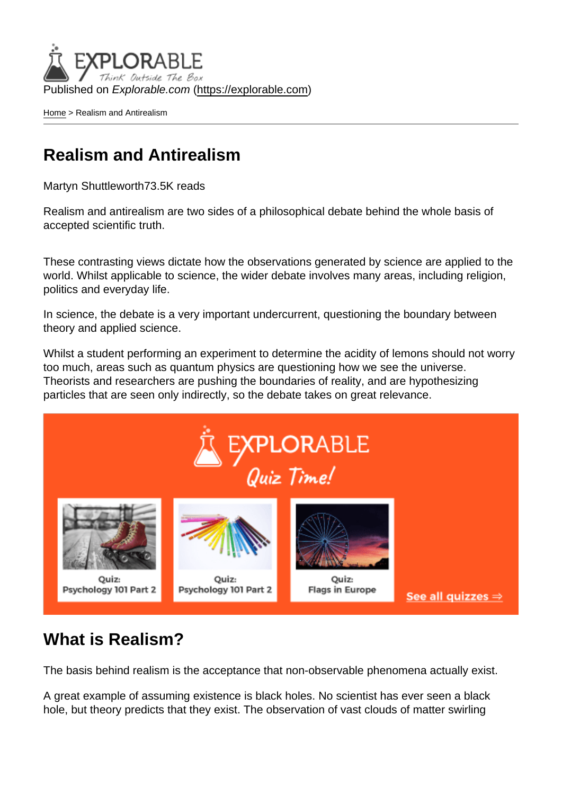Published on Explorable.com (<https://explorable.com>)

[Home](https://explorable.com/) > Realism and Antirealism

## Realism and Antirealism

Martyn Shuttleworth73.5K reads

Realism and antirealism are two sides of a philosophical debate behind the whole basis of accepted scientific truth.

These contrasting views dictate how the observations generated by science are applied to the world. Whilst applicable to science, the wider debate involves many areas, including religion, politics and everyday life.

In science, the debate is a very important undercurrent, questioning the boundary between theory and applied science.

Whilst a student performing an experiment to determine the acidity of lemons should not worry too much, areas such as quantum physics are questioning how we see the universe. Theorists and researchers are pushing the boundaries of reality, and are hypothesizing particles that are seen only indirectly, so the debate takes on great relevance.

## What is Realism?

The basis behind realism is the acceptance that non-observable phenomena actually exist.

A great example of assuming existence is black holes. No scientist has ever seen a black hole, but theory predicts that they exist. The observation of vast clouds of matter swirling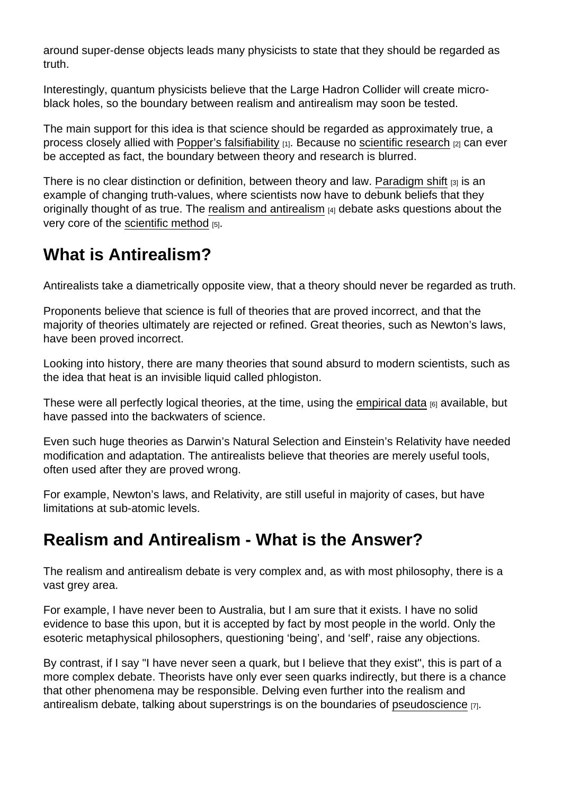around super-dense objects leads many physicists to state that they should be regarded as truth.

Interestingly, quantum physicists believe that the Large Hadron Collider will create microblack holes, so the boundary between realism and antirealism may soon be tested.

The main support for this idea is that science should be regarded as approximately true, a process closely allied with [Popper's falsifiability](https://explorable.com/falsifiability) [1]. Because no [scientific research](https://explorable.com/what-is-research) [2] can ever be accepted as fact, the boundary between theory and research is blurred.

There is no clear distinction or definition, between theory and law. [Paradigm shift](https://explorable.com/paradigm-shift) [3] is an example of changing truth-values, where scientists now have to debunk beliefs that they originally thought of as true. The [realism and antirealism](http://en.wikipedia.org/wiki/Anti-realism) [4] debate asks questions about the very core of the [scientific method](https://explorable.com/what-is-the-scientific-method) [5].

## What is Antirealism?

Antirealists take a diametrically opposite view, that a theory should never be regarded as truth.

Proponents believe that science is full of theories that are proved incorrect, and that the majority of theories ultimately are rejected or refined. Great theories, such as Newton's laws, have been proved incorrect.

Looking into history, there are many theories that sound absurd to modern scientists, such as the idea that heat is an invisible liquid called phlogiston.

These were all perfectly logical theories, at the time, using the [empirical data](https://explorable.com/empirical-evidence)  $_{[6]}$  available, but have passed into the backwaters of science.

Even such huge theories as Darwin's Natural Selection and Einstein's Relativity have needed modification and adaptation. The antirealists believe that theories are merely useful tools, often used after they are proved wrong.

For example, Newton's laws, and Relativity, are still useful in majority of cases, but have limitations at sub-atomic levels.

## Realism and Antirealism - What is the Answer?

The realism and antirealism debate is very complex and, as with most philosophy, there is a vast grey area.

For example, I have never been to Australia, but I am sure that it exists. I have no solid evidence to base this upon, but it is accepted by fact by most people in the world. Only the esoteric metaphysical philosophers, questioning 'being', and 'self', raise any objections.

By contrast, if I say "I have never seen a quark, but I believe that they exist", this is part of a more complex debate. Theorists have only ever seen quarks indirectly, but there is a chance that other phenomena may be responsible. Delving even further into the realism and antirealism debate, talking about superstrings is on the boundaries of [pseudoscience](https://explorable.com/pseudoscience)  $_{[7]}$ .